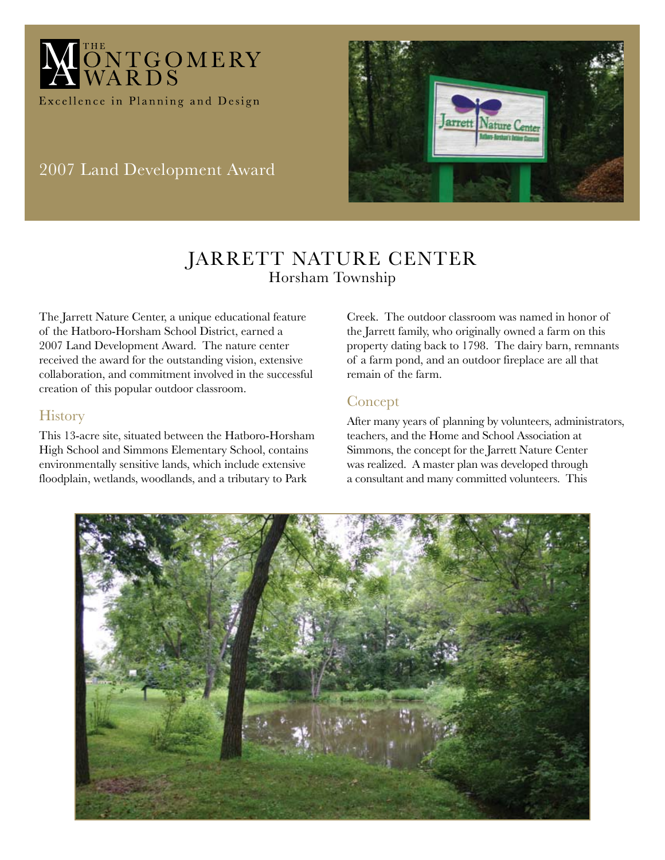

2007 Land Development Award



# JARRETT NATURE CENTER Horsham Township

The Jarrett Nature Center, a unique educational feature of the Hatboro-Horsham School District, earned a 2007 Land Development Award. The nature center received the award for the outstanding vision, extensive collaboration, and commitment involved in the successful creation of this popular outdoor classroom.

### **History**

This 13-acre site, situated between the Hatboro-Horsham High School and Simmons Elementary School, contains environmentally sensitive lands, which include extensive floodplain, wetlands, woodlands, and a tributary to Park

Creek. The outdoor classroom was named in honor of the Jarrett family, who originally owned a farm on this property dating back to 1798. The dairy barn, remnants of a farm pond, and an outdoor fireplace are all that remain of the farm.

### Concept

After many years of planning by volunteers, administrators, teachers, and the Home and School Association at Simmons, the concept for the Jarrett Nature Center was realized. A master plan was developed through a consultant and many committed volunteers. This

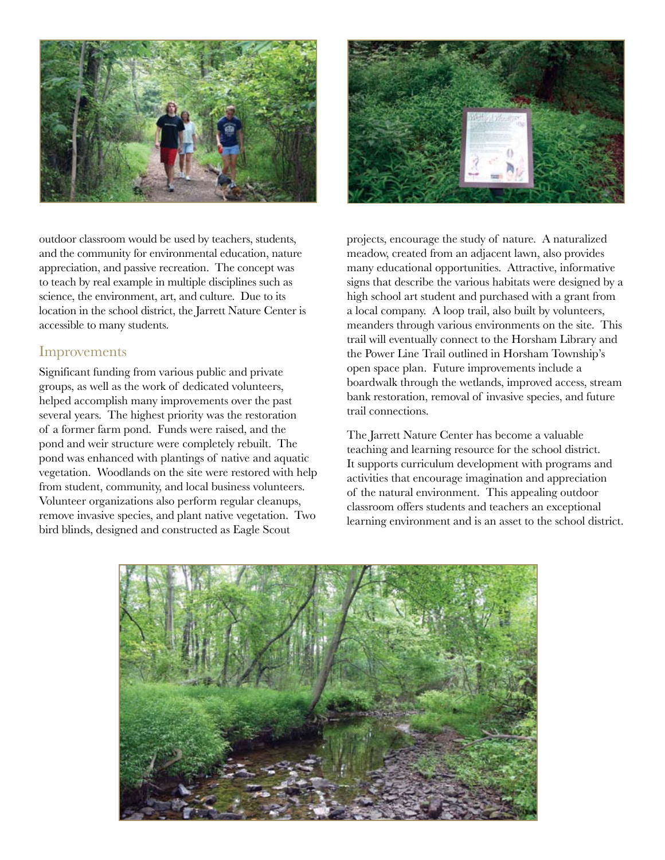

outdoor classroom would be used by teachers, students, and the community for environmental education, nature appreciation, and passive recreation. The concept was to teach by real example in multiple disciplines such as science, the environment, art, and culture. Due to its location in the school district, the Jarrett Nature Center is accessible to many students.

### Improvements

Significant funding from various public and private groups, as well as the work of dedicated volunteers, helped accomplish many improvements over the past several years. The highest priority was the restoration of a former farm pond. Funds were raised, and the pond and weir structure were completely rebuilt. The pond was enhanced with plantings of native and aquatic vegetation. Woodlands on the site were restored with help from student, community, and local business volunteers. Volunteer organizations also perform regular cleanups, remove invasive species, and plant native vegetation. Two bird blinds, designed and constructed as Eagle Scout



projects, encourage the study of nature. A naturalized meadow, created from an adjacent lawn, also provides many educational opportunities. Attractive, informative signs that describe the various habitats were designed by a high school art student and purchased with a grant from a local company. A loop trail, also built by volunteers, meanders through various environments on the site. This trail will eventually connect to the Horsham Library and the Power Line Trail outlined in Horsham Township's open space plan. Future improvements include a boardwalk through the wetlands, improved access, stream bank restoration, removal of invasive species, and future trail connections.

The Jarrett Nature Center has become a valuable teaching and learning resource for the school district. It supports curriculum development with programs and activities that encourage imagination and appreciation of the natural environment. This appealing outdoor classroom offers students and teachers an exceptional learning environment and is an asset to the school district.

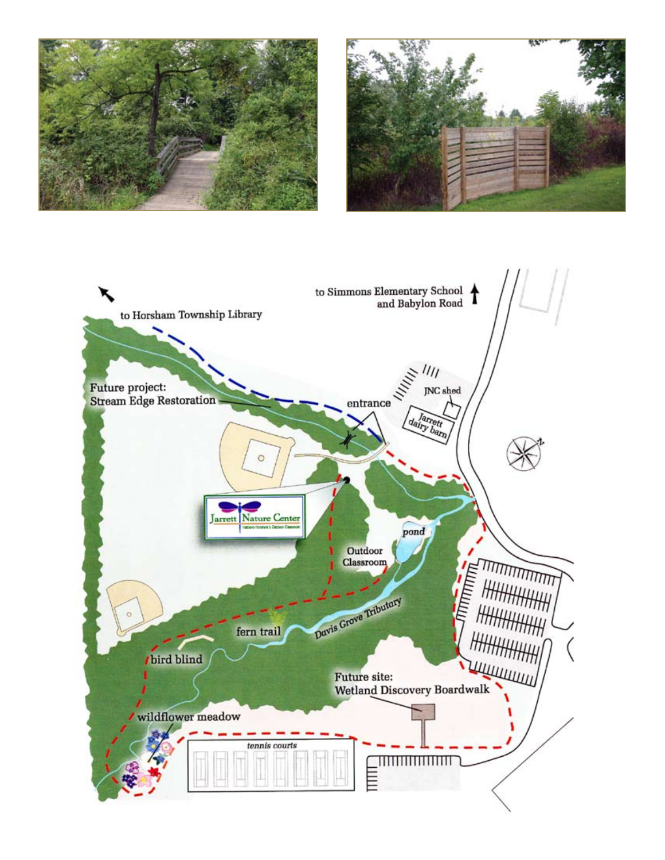